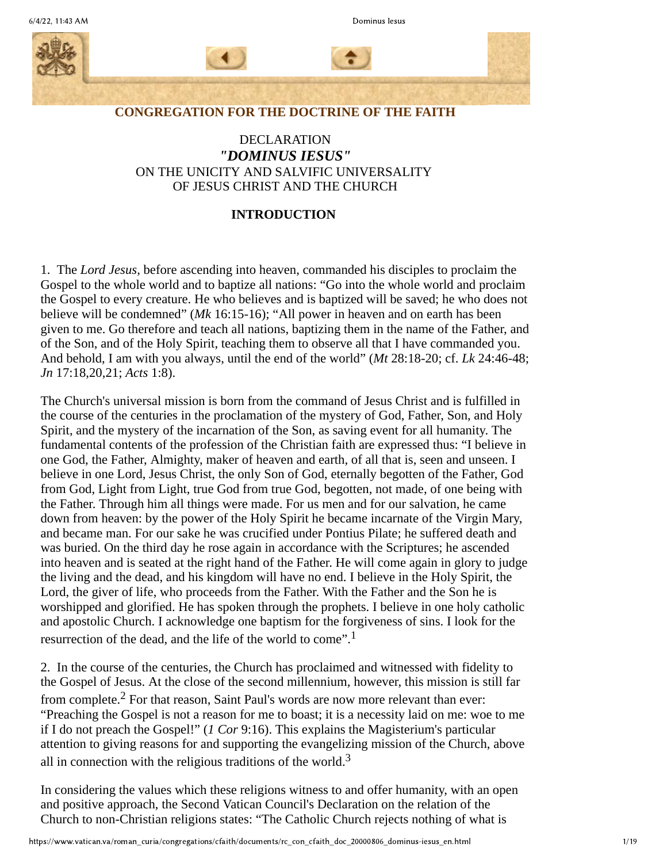

# DECLARATION *"DOMINUS IESUS"*

ON THE UNICITY AND SALVIFIC UNIVERSALITY OF JESUS CHRIST AND THE CHURCH

# **INTRODUCTION**

1. The *Lord Jesus,* before ascending into heaven, commanded his disciples to proclaim the Gospel to the whole world and to baptize all nations: "Go into the whole world and proclaim the Gospel to every creature. He who believes and is baptized will be saved; he who does not believe will be condemned" (*Mk* 16:15-16); "All power in heaven and on earth has been given to me. Go therefore and teach all nations, baptizing them in the name of the Father, and of the Son, and of the Holy Spirit, teaching them to observe all that I have commanded you. And behold, I am with you always, until the end of the world" (*Mt* 28:18-20; cf. *Lk* 24:46-48; *Jn* 17:18,20,21; *Acts* 1:8).

The Church's universal mission is born from the command of Jesus Christ and is fulfilled in the course of the centuries in the proclamation of the mystery of God, Father, Son, and Holy Spirit, and the mystery of the incarnation of the Son, as saving event for all humanity. The fundamental contents of the profession of the Christian faith are expressed thus: "I believe in one God, the Father, Almighty, maker of heaven and earth, of all that is, seen and unseen. I believe in one Lord, Jesus Christ, the only Son of God, eternally begotten of the Father, God from God, Light from Light, true God from true God, begotten, not made, of one being with the Father. Through him all things were made. For us men and for our salvation, he came down from heaven: by the power of the Holy Spirit he became incarnate of the Virgin Mary, and became man. For our sake he was crucified under Pontius Pilate; he suffered death and was buried. On the third day he rose again in accordance with the Scriptures; he ascended into heaven and is seated at the right hand of the Father. He will come again in glory to judge the living and the dead, and his kingdom will have no end. I believe in the Holy Spirit, the Lord, the giver of life, who proceeds from the Father. With the Father and the Son he is worshipped and glorified. He has spoken through the prophets. I believe in one holy catholic and apostolic Church. I acknowledge one baptism for the forgiveness of sins. I look for the resurrection of the dead, and the life of the world to come". $^{\rm 1}$ 

2. In the course of the centuries, the Church has proclaimed and witnessed with fidelity to the Gospel of Jesus. At the close of the second millennium, however, this mission is still far from complete.<sup>2</sup> For that reason, Saint Paul's words are now more relevant than ever: "Preaching the Gospel is not a reason for me to boast; it is a necessity laid on me: woe to me if I do not preach the Gospel!" (*1 Cor* 9:16). This explains the Magisterium's particular attention to giving reasons for and supporting the evangelizing mission of the Church, above all in connection with the religious traditions of the world.<sup>3</sup>

In considering the values which these religions witness to and offer humanity, with an open and positive approach, the Second Vatican Council's Declaration on the relation of the Church to non-Christian religions states: "The Catholic Church rejects nothing of what is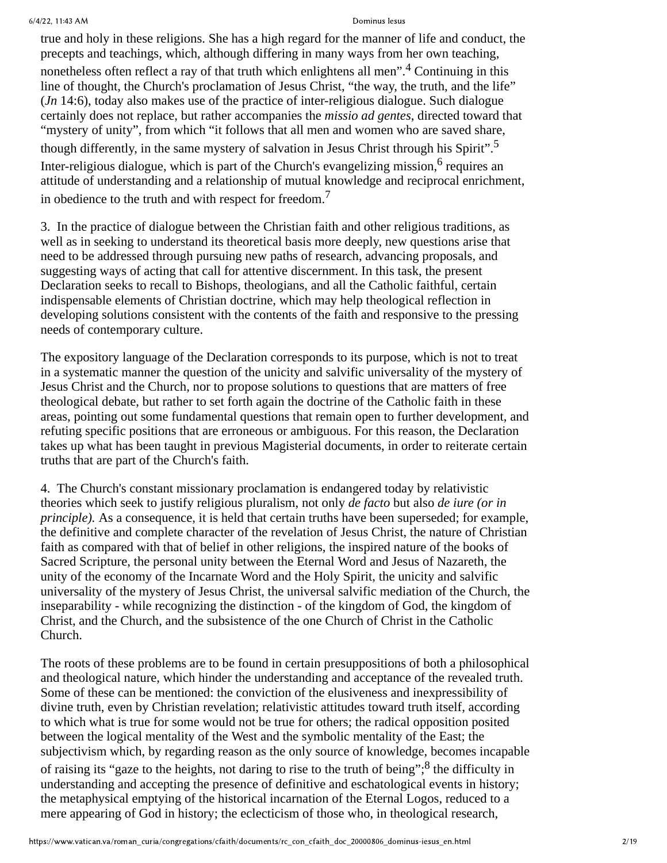true and holy in these religions. She has a high regard for the manner of life and conduct, the precepts and teachings, which, although differing in many ways from her own teaching, nonetheless often reflect a ray of that truth which enlightens all men".<sup>4</sup> Continuing in this line of thought, the Church's proclamation of Jesus Christ, "the way, the truth, and the life" (*Jn* 14:6), today also makes use of the practice of inter-religious dialogue. Such dialogue certainly does not replace, but rather accompanies the *missio ad gentes*, directed toward that "mystery of unity", from which "it follows that all men and women who are saved share, though differently, in the same mystery of salvation in Jesus Christ through his Spirit".<sup>5</sup> Inter-religious dialogue, which is part of the Church's evangelizing mission, $^6$  requires an attitude of understanding and a relationship of mutual knowledge and reciprocal enrichment, in obedience to the truth and with respect for freedom.<sup>7</sup>

3. In the practice of dialogue between the Christian faith and other religious traditions, as well as in seeking to understand its theoretical basis more deeply, new questions arise that need to be addressed through pursuing new paths of research, advancing proposals, and suggesting ways of acting that call for attentive discernment. In this task, the present Declaration seeks to recall to Bishops, theologians, and all the Catholic faithful, certain indispensable elements of Christian doctrine, which may help theological reflection in developing solutions consistent with the contents of the faith and responsive to the pressing needs of contemporary culture.

The expository language of the Declaration corresponds to its purpose, which is not to treat in a systematic manner the question of the unicity and salvific universality of the mystery of Jesus Christ and the Church, nor to propose solutions to questions that are matters of free theological debate, but rather to set forth again the doctrine of the Catholic faith in these areas, pointing out some fundamental questions that remain open to further development, and refuting specific positions that are erroneous or ambiguous. For this reason, the Declaration takes up what has been taught in previous Magisterial documents, in order to reiterate certain truths that are part of the Church's faith.

4. The Church's constant missionary proclamation is endangered today by relativistic theories which seek to justify religious pluralism, not only *de facto* but also *de iure (or in principle).* As a consequence, it is held that certain truths have been superseded; for example, the definitive and complete character of the revelation of Jesus Christ, the nature of Christian faith as compared with that of belief in other religions, the inspired nature of the books of Sacred Scripture, the personal unity between the Eternal Word and Jesus of Nazareth, the unity of the economy of the Incarnate Word and the Holy Spirit, the unicity and salvific universality of the mystery of Jesus Christ, the universal salvific mediation of the Church, the inseparability - while recognizing the distinction - of the kingdom of God, the kingdom of Christ, and the Church, and the subsistence of the one Church of Christ in the Catholic Church.

The roots of these problems are to be found in certain presuppositions of both a philosophical and theological nature, which hinder the understanding and acceptance of the revealed truth. Some of these can be mentioned: the conviction of the elusiveness and inexpressibility of divine truth, even by Christian revelation; relativistic attitudes toward truth itself, according to which what is true for some would not be true for others; the radical opposition posited between the logical mentality of the West and the symbolic mentality of the East; the subjectivism which, by regarding reason as the only source of knowledge, becomes incapable of raising its "gaze to the heights, not daring to rise to the truth of being";<sup>8</sup> the difficulty in understanding and accepting the presence of definitive and eschatological events in history; the metaphysical emptying of the historical incarnation of the Eternal Logos, reduced to a mere appearing of God in history; the eclecticism of those who, in theological research,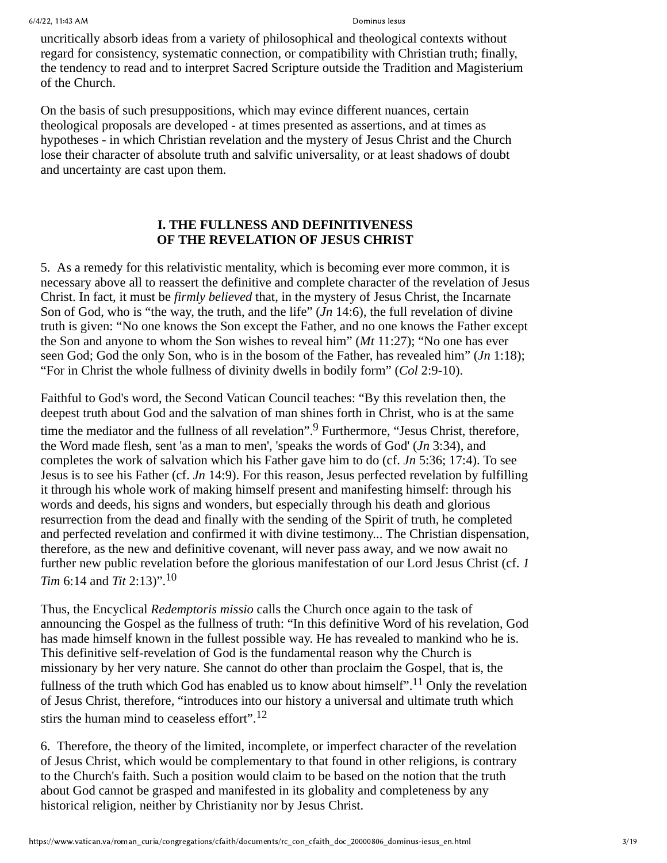uncritically absorb ideas from a variety of philosophical and theological contexts without regard for consistency, systematic connection, or compatibility with Christian truth; finally, the tendency to read and to interpret Sacred Scripture outside the Tradition and Magisterium of the Church.

On the basis of such presuppositions, which may evince different nuances, certain theological proposals are developed - at times presented as assertions, and at times as hypotheses - in which Christian revelation and the mystery of Jesus Christ and the Church lose their character of absolute truth and salvific universality, or at least shadows of doubt and uncertainty are cast upon them.

## **I. THE FULLNESS AND DEFINITIVENESS OF THE REVELATION OF JESUS CHRIST**

5. As a remedy for this relativistic mentality, which is becoming ever more common, it is necessary above all to reassert the definitive and complete character of the revelation of Jesus Christ. In fact, it must be *firmly believed* that, in the mystery of Jesus Christ, the Incarnate Son of God, who is "the way, the truth, and the life" (*Jn* 14:6), the full revelation of divine truth is given: "No one knows the Son except the Father, and no one knows the Father except the Son and anyone to whom the Son wishes to reveal him" (*Mt* 11:27); "No one has ever seen God; God the only Son, who is in the bosom of the Father, has revealed him" (*Jn* 1:18); "For in Christ the whole fullness of divinity dwells in bodily form" (*Col* 2:9-10).

Faithful to God's word, the Second Vatican Council teaches: "By this revelation then, the deepest truth about God and the salvation of man shines forth in Christ, who is at the same time the mediator and the fullness of all revelation".<sup>9</sup> Furthermore, "Jesus Christ, therefore, the Word made flesh, sent 'as a man to men', 'speaks the words of God' (*Jn* 3:34), and completes the work of salvation which his Father gave him to do (cf. *Jn* 5:36; 17:4). To see Jesus is to see his Father (cf. *Jn* 14:9). For this reason, Jesus perfected revelation by fulfilling it through his whole work of making himself present and manifesting himself: through his words and deeds, his signs and wonders, but especially through his death and glorious resurrection from the dead and finally with the sending of the Spirit of truth, he completed and perfected revelation and confirmed it with divine testimony... The Christian dispensation, therefore, as the new and definitive covenant, will never pass away, and we now await no further new public revelation before the glorious manifestation of our Lord Jesus Christ (cf. *1 Tim* 6:14 and *Tit* 2:13)". 10

Thus, the Encyclical *Redemptoris missio* calls the Church once again to the task of announcing the Gospel as the fullness of truth: "In this definitive Word of his revelation, God has made himself known in the fullest possible way. He has revealed to mankind who he is. This definitive self-revelation of God is the fundamental reason why the Church is missionary by her very nature. She cannot do other than proclaim the Gospel, that is, the fullness of the truth which God has enabled us to know about himself".<sup>11</sup> Only the revelation of Jesus Christ, therefore, "introduces into our history a universal and ultimate truth which stirs the human mind to ceaseless effort". $^{12}$ 

6. Therefore, the theory of the limited, incomplete, or imperfect character of the revelation of Jesus Christ, which would be complementary to that found in other religions, is contrary to the Church's faith. Such a position would claim to be based on the notion that the truth about God cannot be grasped and manifested in its globality and completeness by any historical religion, neither by Christianity nor by Jesus Christ.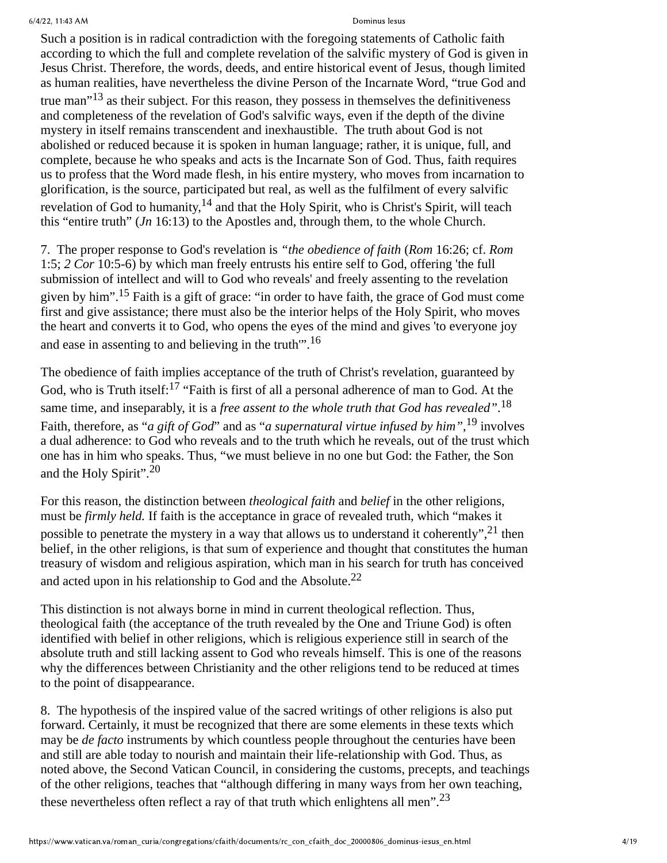Such a position is in radical contradiction with the foregoing statements of Catholic faith according to which the full and complete revelation of the salvific mystery of God is given in Jesus Christ. Therefore, the words, deeds, and entire historical event of Jesus, though limited as human realities, have nevertheless the divine Person of the Incarnate Word, "true God and true man" $^{13}$  as their subject. For this reason, they possess in themselves the definitiveness and completeness of the revelation of God's salvific ways, even if the depth of the divine

mystery in itself remains transcendent and inexhaustible. The truth about God is not abolished or reduced because it is spoken in human language; rather, it is unique, full, and complete, because he who speaks and acts is the Incarnate Son of God. Thus, faith requires us to profess that the Word made flesh, in his entire mystery, who moves from incarnation to glorification, is the source, participated but real, as well as the fulfilment of every salvific revelation of God to humanity, $^{14}$  and that the Holy Spirit, who is Christ's Spirit, will teach this "entire truth" (*Jn* 16:13) to the Apostles and, through them, to the whole Church.

7. The proper response to God's revelation is *"the obedience of faith* (*Rom* 16:26; cf. *Rom* 1:5; *2 Cor* 10:5-6) by which man freely entrusts his entire self to God, offering 'the full submission of intellect and will to God who reveals' and freely assenting to the revelation given by him".<sup>15</sup> Faith is a gift of grace: "in order to have faith, the grace of God must come first and give assistance; there must also be the interior helps of the Holy Spirit, who moves the heart and converts it to God, who opens the eyes of the mind and gives 'to everyone joy and ease in assenting to and believing in the truth".  $^{16}$ 

The obedience of faith implies acceptance of the truth of Christ's revelation, guaranteed by God, who is Truth itself:<sup>17</sup> "Faith is first of all a personal adherence of man to God. At the same time, and inseparably, it is a *free assent to the whole truth that God has revealed"*. 18 Faith, therefore, as "*a gift of God*" and as "*a supernatural virtue infused by him*",<sup>19</sup> involves a dual adherence: to God who reveals and to the truth which he reveals, out of the trust which one has in him who speaks. Thus, "we must believe in no one but God: the Father, the Son and the Holy Spirit".<sup>20</sup>

For this reason, the distinction between *theological faith* and *belief* in the other religions, must be *firmly held.* If faith is the acceptance in grace of revealed truth, which "makes it possible to penetrate the mystery in a way that allows us to understand it coherently",  $^{21}$  then belief, in the other religions, is that sum of experience and thought that constitutes the human treasury of wisdom and religious aspiration, which man in his search for truth has conceived and acted upon in his relationship to God and the Absolute.<sup>22</sup>

This distinction is not always borne in mind in current theological reflection. Thus, theological faith (the acceptance of the truth revealed by the One and Triune God) is often identified with belief in other religions, which is religious experience still in search of the absolute truth and still lacking assent to God who reveals himself. This is one of the reasons why the differences between Christianity and the other religions tend to be reduced at times to the point of disappearance.

8. The hypothesis of the inspired value of the sacred writings of other religions is also put forward. Certainly, it must be recognized that there are some elements in these texts which may be *de facto* instruments by which countless people throughout the centuries have been and still are able today to nourish and maintain their life-relationship with God. Thus, as noted above, the Second Vatican Council, in considering the customs, precepts, and teachings of the other religions, teaches that "although differing in many ways from her own teaching, these nevertheless often reflect a ray of that truth which enlightens all men".<sup>23</sup>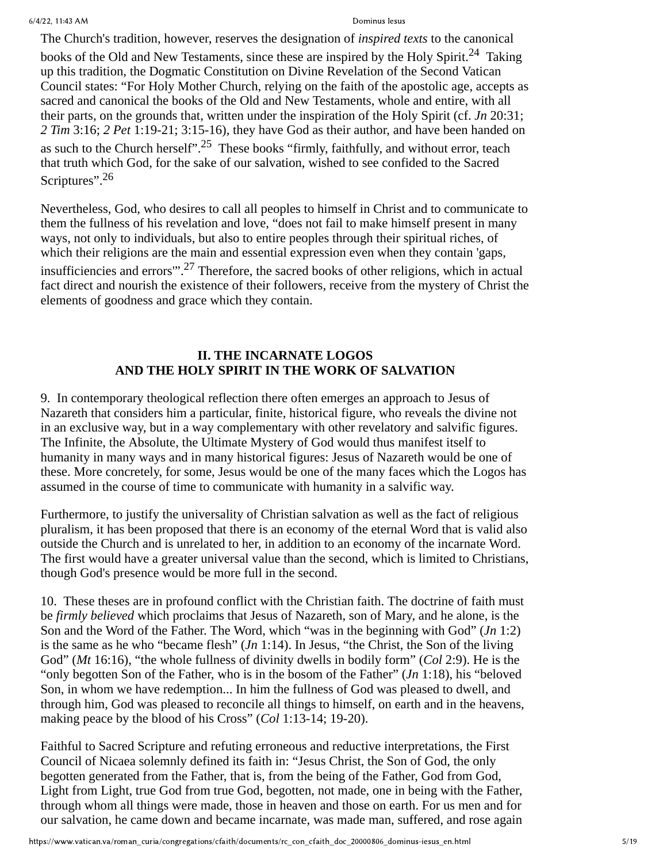6/4/22, 11:43 AM Dominus Iesus

The Church's tradition, however, reserves the designation of *inspired texts* to the canonical books of the Old and New Testaments, since these are inspired by the Holy Spirit.<sup>24</sup> Taking up this tradition, the Dogmatic Constitution on Divine Revelation of the Second Vatican Council states: "For Holy Mother Church, relying on the faith of the apostolic age, accepts as sacred and canonical the books of the Old and New Testaments, whole and entire, with all their parts, on the grounds that, written under the inspiration of the Holy Spirit (cf. *Jn* 20:31; *2 Tim* 3:16; *2 Pet* 1:19-21; 3:15-16), they have God as their author, and have been handed on as such to the Church herself".<sup>25</sup> These books "firmly, faithfully, and without error, teach that truth which God, for the sake of our salvation, wished to see confided to the Sacred Scriptures".<sup>26</sup>

Nevertheless, God, who desires to call all peoples to himself in Christ and to communicate to them the fullness of his revelation and love, "does not fail to make himself present in many ways, not only to individuals, but also to entire peoples through their spiritual riches, of which their religions are the main and essential expression even when they contain 'gaps, insufficiencies and errors'".<sup>27</sup> Therefore, the sacred books of other religions, which in actual fact direct and nourish the existence of their followers, receive from the mystery of Christ the elements of goodness and grace which they contain.

# **II. THE INCARNATE LOGOS AND THE HOLY SPIRIT IN THE WORK OF SALVATION**

9. In contemporary theological reflection there often emerges an approach to Jesus of Nazareth that considers him a particular, finite, historical figure, who reveals the divine not in an exclusive way, but in a way complementary with other revelatory and salvific figures. The Infinite, the Absolute, the Ultimate Mystery of God would thus manifest itself to humanity in many ways and in many historical figures: Jesus of Nazareth would be one of these. More concretely, for some, Jesus would be one of the many faces which the Logos has assumed in the course of time to communicate with humanity in a salvific way.

Furthermore, to justify the universality of Christian salvation as well as the fact of religious pluralism, it has been proposed that there is an economy of the eternal Word that is valid also outside the Church and is unrelated to her, in addition to an economy of the incarnate Word. The first would have a greater universal value than the second, which is limited to Christians, though God's presence would be more full in the second.

10. These theses are in profound conflict with the Christian faith. The doctrine of faith must be *firmly believed* which proclaims that Jesus of Nazareth, son of Mary, and he alone, is the Son and the Word of the Father. The Word, which "was in the beginning with God" (*Jn* 1:2) is the same as he who "became flesh" (*Jn* 1:14). In Jesus, "the Christ, the Son of the living God" (*Mt* 16:16), "the whole fullness of divinity dwells in bodily form" (*Col* 2:9). He is the "only begotten Son of the Father, who is in the bosom of the Father" (*Jn* 1:18), his "beloved Son, in whom we have redemption... In him the fullness of God was pleased to dwell, and through him, God was pleased to reconcile all things to himself, on earth and in the heavens, making peace by the blood of his Cross" (*Col* 1:13-14; 19-20).

Faithful to Sacred Scripture and refuting erroneous and reductive interpretations, the First Council of Nicaea solemnly defined its faith in: "Jesus Christ, the Son of God, the only begotten generated from the Father, that is, from the being of the Father, God from God, Light from Light, true God from true God, begotten, not made, one in being with the Father, through whom all things were made, those in heaven and those on earth. For us men and for our salvation, he came down and became incarnate, was made man, suffered, and rose again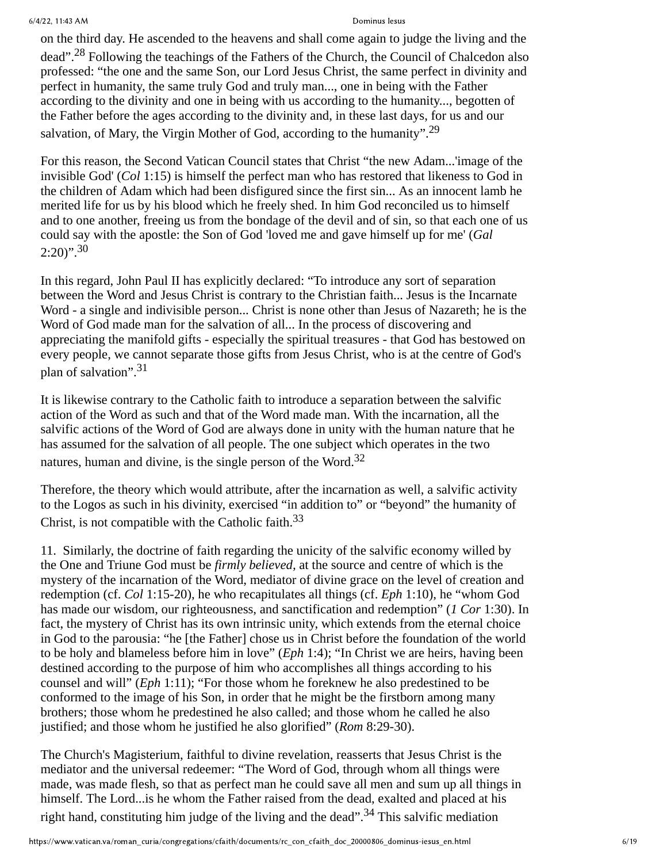on the third day. He ascended to the heavens and shall come again to judge the living and the dead".<sup>28</sup> Following the teachings of the Fathers of the Church, the Council of Chalcedon also professed: "the one and the same Son, our Lord Jesus Christ, the same perfect in divinity and perfect in humanity, the same truly God and truly man..., one in being with the Father according to the divinity and one in being with us according to the humanity..., begotten of the Father before the ages according to the divinity and, in these last days, for us and our salvation, of Mary, the Virgin Mother of God, according to the humanity". $^{29}$ 

For this reason, the Second Vatican Council states that Christ "the new Adam...'image of the invisible God' (*Col* 1:15) is himself the perfect man who has restored that likeness to God in the children of Adam which had been disfigured since the first sin... As an innocent lamb he merited life for us by his blood which he freely shed. In him God reconciled us to himself and to one another, freeing us from the bondage of the devil and of sin, so that each one of us could say with the apostle: the Son of God 'loved me and gave himself up for me' (*Gal*  $2:20$ ".<sup>30</sup>

In this regard, John Paul II has explicitly declared: "To introduce any sort of separation between the Word and Jesus Christ is contrary to the Christian faith... Jesus is the Incarnate Word - a single and indivisible person... Christ is none other than Jesus of Nazareth; he is the Word of God made man for the salvation of all... In the process of discovering and appreciating the manifold gifts - especially the spiritual treasures - that God has bestowed on every people, we cannot separate those gifts from Jesus Christ, who is at the centre of God's plan of salvation".<sup>31</sup>

It is likewise contrary to the Catholic faith to introduce a separation between the salvific action of the Word as such and that of the Word made man. With the incarnation, all the salvific actions of the Word of God are always done in unity with the human nature that he has assumed for the salvation of all people. The one subject which operates in the two natures, human and divine, is the single person of the Word.<sup>32</sup>

Therefore, the theory which would attribute, after the incarnation as well, a salvific activity to the Logos as such in his divinity, exercised "in addition to" or "beyond" the humanity of Christ, is not compatible with the Catholic faith.  $33$ 

11. Similarly, the doctrine of faith regarding the unicity of the salvific economy willed by the One and Triune God must be *firmly believed,* at the source and centre of which is the mystery of the incarnation of the Word, mediator of divine grace on the level of creation and redemption (cf. *Col* 1:15-20), he who recapitulates all things (cf. *Eph* 1:10), he "whom God has made our wisdom, our righteousness, and sanctification and redemption" (*1 Cor* 1:30). In fact, the mystery of Christ has its own intrinsic unity, which extends from the eternal choice in God to the parousia: "he [the Father] chose us in Christ before the foundation of the world to be holy and blameless before him in love" (*Eph* 1:4); "In Christ we are heirs, having been destined according to the purpose of him who accomplishes all things according to his counsel and will" (*Eph* 1:11); "For those whom he foreknew he also predestined to be conformed to the image of his Son, in order that he might be the firstborn among many brothers; those whom he predestined he also called; and those whom he called he also justified; and those whom he justified he also glorified" (*Rom* 8:29-30).

The Church's Magisterium, faithful to divine revelation, reasserts that Jesus Christ is the mediator and the universal redeemer: "The Word of God, through whom all things were made, was made flesh, so that as perfect man he could save all men and sum up all things in himself. The Lord...is he whom the Father raised from the dead, exalted and placed at his right hand, constituting him judge of the living and the dead".<sup>34</sup> This salvific mediation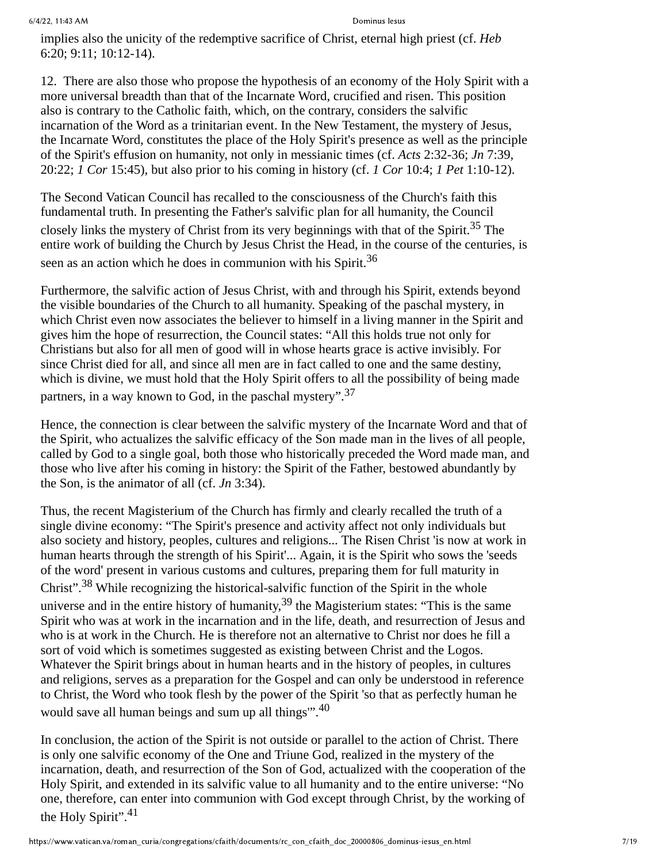implies also the unicity of the redemptive sacrifice of Christ, eternal high priest (cf. *Heb* 6:20; 9:11; 10:12-14).

12. There are also those who propose the hypothesis of an economy of the Holy Spirit with a more universal breadth than that of the Incarnate Word, crucified and risen. This position also is contrary to the Catholic faith, which, on the contrary, considers the salvific incarnation of the Word as a trinitarian event. In the New Testament, the mystery of Jesus, the Incarnate Word, constitutes the place of the Holy Spirit's presence as well as the principle of the Spirit's effusion on humanity, not only in messianic times (cf. *Acts* 2:32-36; *Jn* 7:39, 20:22; *1 Cor* 15:45), but also prior to his coming in history (cf. *1 Cor* 10:4; *1 Pet* 1:10-12).

The Second Vatican Council has recalled to the consciousness of the Church's faith this fundamental truth. In presenting the Father's salvific plan for all humanity, the Council closely links the mystery of Christ from its very beginnings with that of the Spirit.<sup>35</sup> The entire work of building the Church by Jesus Christ the Head, in the course of the centuries, is seen as an action which he does in communion with his Spirit.<sup>36</sup>

Furthermore, the salvific action of Jesus Christ, with and through his Spirit, extends beyond the visible boundaries of the Church to all humanity. Speaking of the paschal mystery, in which Christ even now associates the believer to himself in a living manner in the Spirit and gives him the hope of resurrection, the Council states: "All this holds true not only for Christians but also for all men of good will in whose hearts grace is active invisibly. For since Christ died for all, and since all men are in fact called to one and the same destiny, which is divine, we must hold that the Holy Spirit offers to all the possibility of being made partners, in a way known to God, in the paschal mystery". $^{37}$ 

Hence, the connection is clear between the salvific mystery of the Incarnate Word and that of the Spirit, who actualizes the salvific efficacy of the Son made man in the lives of all people, called by God to a single goal, both those who historically preceded the Word made man, and those who live after his coming in history: the Spirit of the Father, bestowed abundantly by the Son, is the animator of all (cf. *Jn* 3:34).

Thus, the recent Magisterium of the Church has firmly and clearly recalled the truth of a single divine economy: "The Spirit's presence and activity affect not only individuals but also society and history, peoples, cultures and religions... The Risen Christ 'is now at work in human hearts through the strength of his Spirit'... Again, it is the Spirit who sows the 'seeds of the word' present in various customs and cultures, preparing them for full maturity in Christ".<sup>38</sup> While recognizing the historical-salvific function of the Spirit in the whole universe and in the entire history of humanity, $^{39}$  the Magisterium states: "This is the same Spirit who was at work in the incarnation and in the life, death, and resurrection of Jesus and who is at work in the Church. He is therefore not an alternative to Christ nor does he fill a sort of void which is sometimes suggested as existing between Christ and the Logos. Whatever the Spirit brings about in human hearts and in the history of peoples, in cultures and religions, serves as a preparation for the Gospel and can only be understood in reference to Christ, the Word who took flesh by the power of the Spirit 'so that as perfectly human he would save all human beings and sum up all things". $^{40}$ 

In conclusion, the action of the Spirit is not outside or parallel to the action of Christ. There is only one salvific economy of the One and Triune God, realized in the mystery of the incarnation, death, and resurrection of the Son of God, actualized with the cooperation of the Holy Spirit, and extended in its salvific value to all humanity and to the entire universe: "No one, therefore, can enter into communion with God except through Christ, by the working of the Holy Spirit".<sup>41</sup>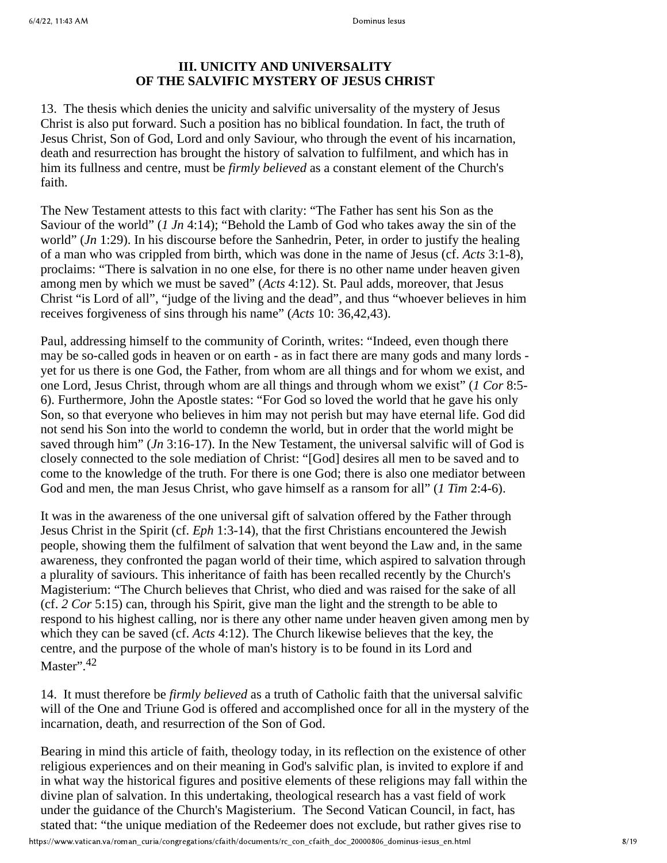# **III. UNICITY AND UNIVERSALITY OF THE SALVIFIC MYSTERY OF JESUS CHRIST**

13. The thesis which denies the unicity and salvific universality of the mystery of Jesus Christ is also put forward. Such a position has no biblical foundation. In fact, the truth of Jesus Christ, Son of God, Lord and only Saviour, who through the event of his incarnation, death and resurrection has brought the history of salvation to fulfilment, and which has in him its fullness and centre, must be *firmly believed* as a constant element of the Church's faith.

The New Testament attests to this fact with clarity: "The Father has sent his Son as the Saviour of the world" (*1 Jn* 4:14); "Behold the Lamb of God who takes away the sin of the world" (*Jn* 1:29). In his discourse before the Sanhedrin, Peter, in order to justify the healing of a man who was crippled from birth, which was done in the name of Jesus (cf. *Acts* 3:1-8), proclaims: "There is salvation in no one else, for there is no other name under heaven given among men by which we must be saved" (*Acts* 4:12). St. Paul adds, moreover, that Jesus Christ "is Lord of all", "judge of the living and the dead", and thus "whoever believes in him receives forgiveness of sins through his name" (*Acts* 10: 36,42,43).

Paul, addressing himself to the community of Corinth, writes: "Indeed, even though there may be so-called gods in heaven or on earth - as in fact there are many gods and many lords yet for us there is one God, the Father, from whom are all things and for whom we exist, and one Lord, Jesus Christ, through whom are all things and through whom we exist" (*1 Cor* 8:5- 6). Furthermore, John the Apostle states: "For God so loved the world that he gave his only Son, so that everyone who believes in him may not perish but may have eternal life. God did not send his Son into the world to condemn the world, but in order that the world might be saved through him" (*Jn* 3:16-17). In the New Testament, the universal salvific will of God is closely connected to the sole mediation of Christ: "[God] desires all men to be saved and to come to the knowledge of the truth. For there is one God; there is also one mediator between God and men, the man Jesus Christ, who gave himself as a ransom for all" (*1 Tim* 2:4-6).

It was in the awareness of the one universal gift of salvation offered by the Father through Jesus Christ in the Spirit (cf. *Eph* 1:3-14), that the first Christians encountered the Jewish people, showing them the fulfilment of salvation that went beyond the Law and, in the same awareness, they confronted the pagan world of their time, which aspired to salvation through a plurality of saviours. This inheritance of faith has been recalled recently by the Church's Magisterium: "The Church believes that Christ, who died and was raised for the sake of all (cf. *2 Cor* 5:15) can, through his Spirit, give man the light and the strength to be able to respond to his highest calling, nor is there any other name under heaven given among men by which they can be saved (cf. *Acts* 4:12). The Church likewise believes that the key, the centre, and the purpose of the whole of man's history is to be found in its Lord and Master".<sup>42</sup>

14. It must therefore be *firmly believed* as a truth of Catholic faith that the universal salvific will of the One and Triune God is offered and accomplished once for all in the mystery of the incarnation, death, and resurrection of the Son of God.

Bearing in mind this article of faith, theology today, in its reflection on the existence of other religious experiences and on their meaning in God's salvific plan, is invited to explore if and in what way the historical figures and positive elements of these religions may fall within the divine plan of salvation. In this undertaking, theological research has a vast field of work under the guidance of the Church's Magisterium. The Second Vatican Council, in fact, has stated that: "the unique mediation of the Redeemer does not exclude, but rather gives rise to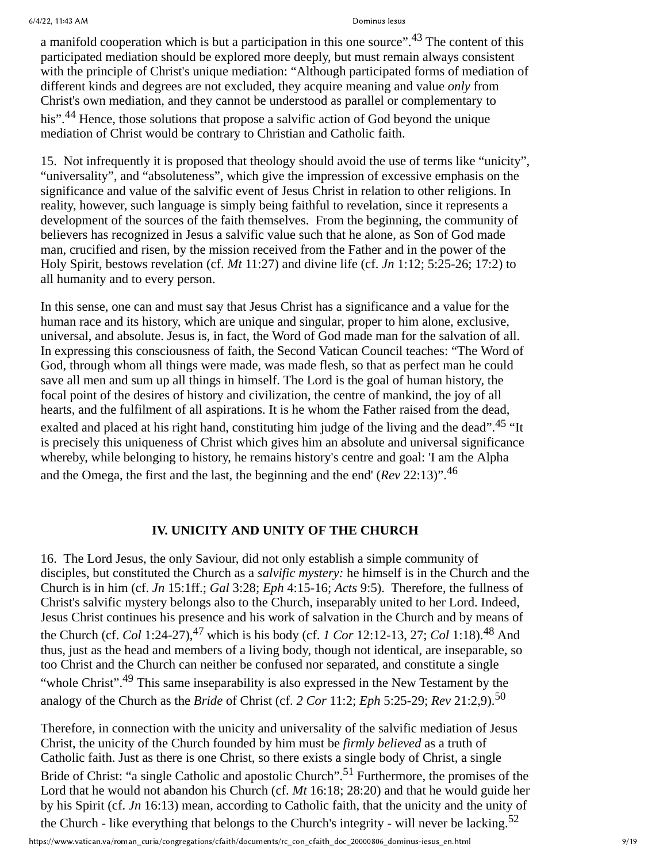a manifold cooperation which is but a participation in this one source".<sup>43</sup> The content of this participated mediation should be explored more deeply, but must remain always consistent with the principle of Christ's unique mediation: "Although participated forms of mediation of different kinds and degrees are not excluded, they acquire meaning and value *only* from Christ's own mediation, and they cannot be understood as parallel or complementary to his".<sup>44</sup> Hence, those solutions that propose a salvific action of God beyond the unique mediation of Christ would be contrary to Christian and Catholic faith.

15. Not infrequently it is proposed that theology should avoid the use of terms like "unicity", "universality", and "absoluteness", which give the impression of excessive emphasis on the significance and value of the salvific event of Jesus Christ in relation to other religions. In reality, however, such language is simply being faithful to revelation, since it represents a development of the sources of the faith themselves. From the beginning, the community of believers has recognized in Jesus a salvific value such that he alone, as Son of God made man, crucified and risen, by the mission received from the Father and in the power of the Holy Spirit, bestows revelation (cf. *Mt* 11:27) and divine life (cf. *Jn* 1:12; 5:25-26; 17:2) to all humanity and to every person.

In this sense, one can and must say that Jesus Christ has a significance and a value for the human race and its history, which are unique and singular, proper to him alone, exclusive, universal, and absolute. Jesus is, in fact, the Word of God made man for the salvation of all. In expressing this consciousness of faith, the Second Vatican Council teaches: "The Word of God, through whom all things were made, was made flesh, so that as perfect man he could save all men and sum up all things in himself. The Lord is the goal of human history, the focal point of the desires of history and civilization, the centre of mankind, the joy of all hearts, and the fulfilment of all aspirations. It is he whom the Father raised from the dead, exalted and placed at his right hand, constituting him judge of the living and the dead".<sup>45</sup> "It is precisely this uniqueness of Christ which gives him an absolute and universal significance whereby, while belonging to history, he remains history's centre and goal: 'I am the Alpha and the Omega, the first and the last, the beginning and the end' (*Rev* 22:13)". 46

## **IV. UNICITY AND UNITY OF THE CHURCH**

16. The Lord Jesus, the only Saviour, did not only establish a simple community of disciples, but constituted the Church as a *salvific mystery:* he himself is in the Church and the Church is in him (cf. *Jn* 15:1ff.; *Gal* 3:28; *Eph* 4:15-16; *Acts* 9:5). Therefore, the fullness of Christ's salvific mystery belongs also to the Church, inseparably united to her Lord. Indeed, Jesus Christ continues his presence and his work of salvation in the Church and by means of the Church (cf. *Col* 1:24-27),<sup>47</sup> which is his body (cf. *1 Cor* 12:12-13, 27; *Col* 1:18).<sup>48</sup> And thus, just as the head and members of a living body, though not identical, are inseparable, so too Christ and the Church can neither be confused nor separated, and constitute a single "whole Christ".<sup>49</sup> This same inseparability is also expressed in the New Testament by the analogy of the Church as the *Bride* of Christ (cf. 2 Cor 11:2; *Eph* 5:25-29; *Rev* 21:2,9).<sup>50</sup>

Therefore, in connection with the unicity and universality of the salvific mediation of Jesus Christ, the unicity of the Church founded by him must be *firmly believed* as a truth of Catholic faith. Just as there is one Christ, so there exists a single body of Christ, a single Bride of Christ: "a single Catholic and apostolic Church".<sup>51</sup> Furthermore, the promises of the Lord that he would not abandon his Church (cf. *Mt* 16:18; 28:20) and that he would guide her by his Spirit (cf. *Jn* 16:13) mean, according to Catholic faith, that the unicity and the unity of the Church - like everything that belongs to the Church's integrity - will never be lacking.<sup>52</sup>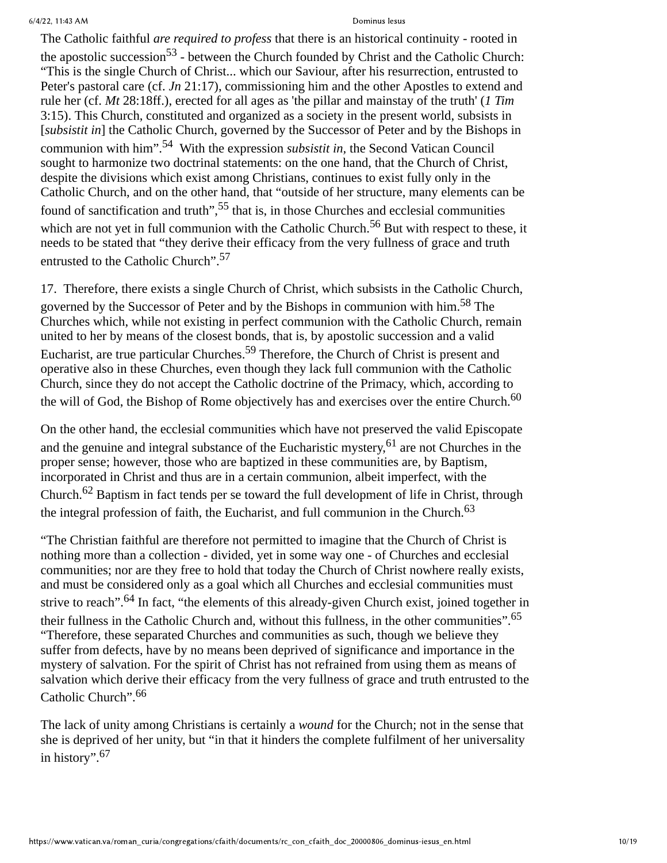The Catholic faithful *are required to profess* that there is an historical continuity - rooted in the apostolic succession<sup>53</sup> - between the Church founded by Christ and the Catholic Church: "This is the single Church of Christ... which our Saviour, after his resurrection, entrusted to Peter's pastoral care (cf. *Jn* 21:17), commissioning him and the other Apostles to extend and rule her (cf. *Mt* 28:18ff.), erected for all ages as 'the pillar and mainstay of the truth' (*1 Tim* 3:15). This Church, constituted and organized as a society in the present world, subsists in [*subsistit in*] the Catholic Church, governed by the Successor of Peter and by the Bishops in communion with him". 54 With the expression *subsistit in,* the Second Vatican Council sought to harmonize two doctrinal statements: on the one hand, that the Church of Christ, despite the divisions which exist among Christians, continues to exist fully only in the Catholic Church, and on the other hand, that "outside of her structure, many elements can be found of sanctification and truth",<sup>55</sup> that is, in those Churches and ecclesial communities which are not yet in full communion with the Catholic Church. $^{56}$  But with respect to these, it needs to be stated that "they derive their efficacy from the very fullness of grace and truth entrusted to the Catholic Church".<sup>57</sup>

17. Therefore, there exists a single Church of Christ, which subsists in the Catholic Church, governed by the Successor of Peter and by the Bishops in communion with him. $^{58}$  The Churches which, while not existing in perfect communion with the Catholic Church, remain united to her by means of the closest bonds, that is, by apostolic succession and a valid Eucharist, are true particular Churches.<sup>59</sup> Therefore, the Church of Christ is present and operative also in these Churches, even though they lack full communion with the Catholic Church, since they do not accept the Catholic doctrine of the Primacy, which, according to the will of God, the Bishop of Rome objectively has and exercises over the entire Church.<sup>60</sup>

On the other hand, the ecclesial communities which have not preserved the valid Episcopate and the genuine and integral substance of the Eucharistic mystery,  $61$  are not Churches in the proper sense; however, those who are baptized in these communities are, by Baptism, incorporated in Christ and thus are in a certain communion, albeit imperfect, with the Church.<sup>62</sup> Baptism in fact tends per se toward the full development of life in Christ, through the integral profession of faith, the Eucharist, and full communion in the Church.<sup>63</sup>

"The Christian faithful are therefore not permitted to imagine that the Church of Christ is nothing more than a collection - divided, yet in some way one - of Churches and ecclesial communities; nor are they free to hold that today the Church of Christ nowhere really exists, and must be considered only as a goal which all Churches and ecclesial communities must strive to reach".<sup>64</sup> In fact, "the elements of this already-given Church exist, joined together in their fullness in the Catholic Church and, without this fullness, in the other communities". <sup>65</sup> "Therefore, these separated Churches and communities as such, though we believe they suffer from defects, have by no means been deprived of significance and importance in the mystery of salvation. For the spirit of Christ has not refrained from using them as means of salvation which derive their efficacy from the very fullness of grace and truth entrusted to the Catholic Church".<sup>66</sup>

The lack of unity among Christians is certainly a *wound* for the Church; not in the sense that she is deprived of her unity, but "in that it hinders the complete fulfilment of her universality in history". 67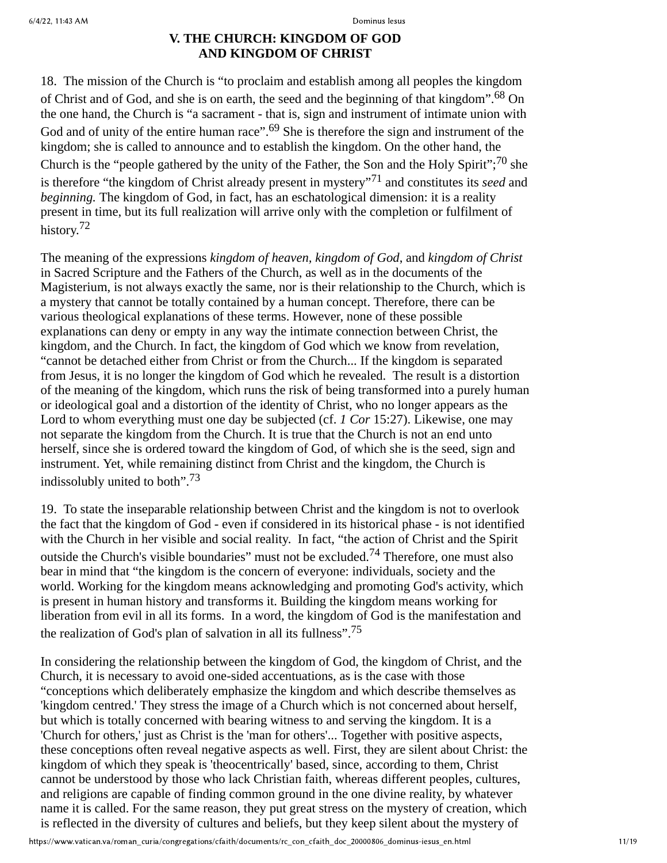6/4/22, 11:43 AM Dominus Iesus

# **V. THE CHURCH: KINGDOM OF GOD AND KINGDOM OF CHRIST**

18. The mission of the Church is "to proclaim and establish among all peoples the kingdom of Christ and of God, and she is on earth, the seed and the beginning of that kingdom".  $^{68}$  On the one hand, the Church is "a sacrament - that is, sign and instrument of intimate union with God and of unity of the entire human race".<sup>69</sup> She is therefore the sign and instrument of the kingdom; she is called to announce and to establish the kingdom. On the other hand, the Church is the "people gathered by the unity of the Father, the Son and the Holy Spirit";<sup>70</sup> she is therefore "the kingdom of Christ already present in mystery"<sup>71</sup> and constitutes its *seed* and *beginning.* The kingdom of God, in fact, has an eschatological dimension: it is a reality present in time, but its full realization will arrive only with the completion or fulfilment of history.<sup>72</sup>

The meaning of the expressions *kingdom of heaven, kingdom of God*, and *kingdom of Christ* in Sacred Scripture and the Fathers of the Church, as well as in the documents of the Magisterium, is not always exactly the same, nor is their relationship to the Church, which is a mystery that cannot be totally contained by a human concept. Therefore, there can be various theological explanations of these terms. However, none of these possible explanations can deny or empty in any way the intimate connection between Christ, the kingdom, and the Church. In fact, the kingdom of God which we know from revelation, "cannot be detached either from Christ or from the Church... If the kingdom is separated from Jesus, it is no longer the kingdom of God which he revealed. The result is a distortion of the meaning of the kingdom, which runs the risk of being transformed into a purely human or ideological goal and a distortion of the identity of Christ, who no longer appears as the Lord to whom everything must one day be subjected (cf. *1 Cor* 15:27). Likewise, one may not separate the kingdom from the Church. It is true that the Church is not an end unto herself, since she is ordered toward the kingdom of God, of which she is the seed, sign and instrument. Yet, while remaining distinct from Christ and the kingdom, the Church is indissolubly united to both". 73

19. To state the inseparable relationship between Christ and the kingdom is not to overlook the fact that the kingdom of God - even if considered in its historical phase - is not identified with the Church in her visible and social reality. In fact, "the action of Christ and the Spirit outside the Church's visible boundaries" must not be excluded.<sup>74</sup> Therefore, one must also bear in mind that "the kingdom is the concern of everyone: individuals, society and the world. Working for the kingdom means acknowledging and promoting God's activity, which is present in human history and transforms it. Building the kingdom means working for liberation from evil in all its forms. In a word, the kingdom of God is the manifestation and the realization of God's plan of salvation in all its fullness".<sup>75</sup>

In considering the relationship between the kingdom of God, the kingdom of Christ, and the Church, it is necessary to avoid one-sided accentuations, as is the case with those "conceptions which deliberately emphasize the kingdom and which describe themselves as 'kingdom centred.' They stress the image of a Church which is not concerned about herself, but which is totally concerned with bearing witness to and serving the kingdom. It is a 'Church for others,' just as Christ is the 'man for others'... Together with positive aspects, these conceptions often reveal negative aspects as well. First, they are silent about Christ: the kingdom of which they speak is 'theocentrically' based, since, according to them, Christ cannot be understood by those who lack Christian faith, whereas different peoples, cultures, and religions are capable of finding common ground in the one divine reality, by whatever name it is called. For the same reason, they put great stress on the mystery of creation, which is reflected in the diversity of cultures and beliefs, but they keep silent about the mystery of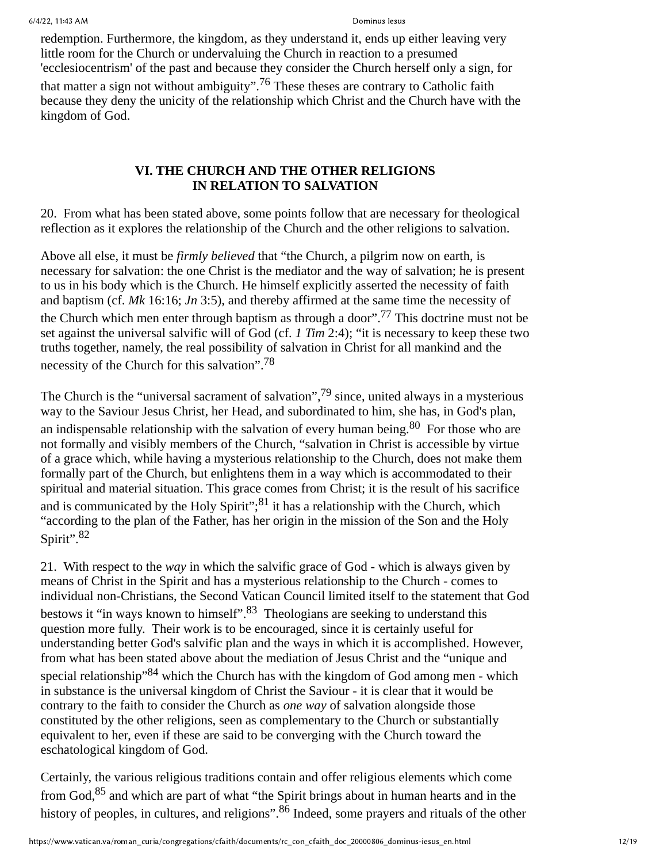redemption. Furthermore, the kingdom, as they understand it, ends up either leaving very little room for the Church or undervaluing the Church in reaction to a presumed 'ecclesiocentrism' of the past and because they consider the Church herself only a sign, for that matter a sign not without ambiguity".<sup>76</sup> These theses are contrary to Catholic faith because they deny the unicity of the relationship which Christ and the Church have with the kingdom of God.

# **VI. THE CHURCH AND THE OTHER RELIGIONS IN RELATION TO SALVATION**

20. From what has been stated above, some points follow that are necessary for theological reflection as it explores the relationship of the Church and the other religions to salvation.

Above all else, it must be *firmly believed* that "the Church, a pilgrim now on earth, is necessary for salvation: the one Christ is the mediator and the way of salvation; he is present to us in his body which is the Church. He himself explicitly asserted the necessity of faith and baptism (cf. *Mk* 16:16; *Jn* 3:5), and thereby affirmed at the same time the necessity of the Church which men enter through baptism as through a door".<sup>77</sup> This doctrine must not be set against the universal salvific will of God (cf. *1 Tim* 2:4); "it is necessary to keep these two truths together, namely, the real possibility of salvation in Christ for all mankind and the necessity of the Church for this salvation".<sup>78</sup>

The Church is the "universal sacrament of salvation",  $^{79}$  since, united always in a mysterious way to the Saviour Jesus Christ, her Head, and subordinated to him, she has, in God's plan, an indispensable relationship with the salvation of every human being. $80\degree$  For those who are not formally and visibly members of the Church, "salvation in Christ is accessible by virtue of a grace which, while having a mysterious relationship to the Church, does not make them formally part of the Church, but enlightens them in a way which is accommodated to their spiritual and material situation. This grace comes from Christ; it is the result of his sacrifice and is communicated by the Holy Spirit"; $^{81}$  it has a relationship with the Church, which "according to the plan of the Father, has her origin in the mission of the Son and the Holy Spirit". 82

21. With respect to the *way* in which the salvific grace of God - which is always given by means of Christ in the Spirit and has a mysterious relationship to the Church - comes to individual non-Christians, the Second Vatican Council limited itself to the statement that God bestows it "in ways known to himself". $^{83}$  Theologians are seeking to understand this question more fully. Their work is to be encouraged, since it is certainly useful for understanding better God's salvific plan and the ways in which it is accomplished. However, from what has been stated above about the mediation of Jesus Christ and the "unique and special relationship" $^{84}$  which the Church has with the kingdom of God among men - which in substance is the universal kingdom of Christ the Saviour - it is clear that it would be contrary to the faith to consider the Church as *one way* of salvation alongside those constituted by the other religions, seen as complementary to the Church or substantially equivalent to her, even if these are said to be converging with the Church toward the eschatological kingdom of God.

Certainly, the various religious traditions contain and offer religious elements which come from God,<sup>85</sup> and which are part of what "the Spirit brings about in human hearts and in the history of peoples, in cultures, and religions".<sup>86</sup> Indeed, some prayers and rituals of the other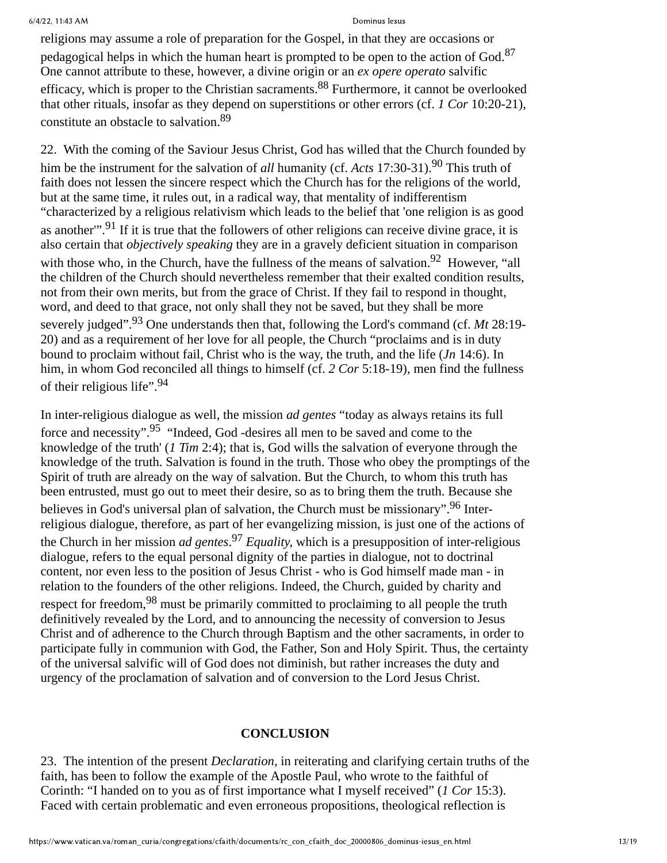religions may assume a role of preparation for the Gospel, in that they are occasions or pedagogical helps in which the human heart is prompted to be open to the action of  $God.<sup>87</sup>$ One cannot attribute to these, however, a divine origin or an *ex opere operato* salvific efficacy, which is proper to the Christian sacraments.<sup>88</sup> Furthermore, it cannot be overlooked that other rituals, insofar as they depend on superstitions or other errors (cf. *1 Cor* 10:20-21), constitute an obstacle to salvation.<sup>89</sup>

22. With the coming of the Saviour Jesus Christ, God has willed that the Church founded by him be the instrument for the salvation of *all* humanity (cf. *Acts* 17:30-31).<sup>90</sup> This truth of faith does not lessen the sincere respect which the Church has for the religions of the world, but at the same time, it rules out, in a radical way, that mentality of indifferentism "characterized by a religious relativism which leads to the belief that 'one religion is as good as another". $^{91}$  If it is true that the followers of other religions can receive divine grace, it is also certain that *objectively speaking* they are in a gravely deficient situation in comparison with those who, in the Church, have the fullness of the means of salvation.<sup>92</sup> However, "all the children of the Church should nevertheless remember that their exalted condition results, not from their own merits, but from the grace of Christ. If they fail to respond in thought, word, and deed to that grace, not only shall they not be saved, but they shall be more severely judged". <sup>93</sup> One understands then that, following the Lord's command (cf. *Mt* 28:19- 20) and as a requirement of her love for all people, the Church "proclaims and is in duty bound to proclaim without fail, Christ who is the way, the truth, and the life (*Jn* 14:6). In him, in whom God reconciled all things to himself (cf. *2 Cor* 5:18-19), men find the fullness of their religious life".<sup>94</sup>

In inter-religious dialogue as well, the mission *ad gentes* "today as always retains its full force and necessity". $^{95}$  "Indeed, God -desires all men to be saved and come to the knowledge of the truth' (*1 Tim* 2:4); that is, God wills the salvation of everyone through the knowledge of the truth. Salvation is found in the truth. Those who obey the promptings of the Spirit of truth are already on the way of salvation. But the Church, to whom this truth has been entrusted, must go out to meet their desire, so as to bring them the truth. Because she believes in God's universal plan of salvation, the Church must be missionary".<sup>96</sup> Interreligious dialogue, therefore, as part of her evangelizing mission, is just one of the actions of the Church in her mission *ad gentes*. <sup>97</sup> *Equality,* which is a presupposition of inter-religious dialogue, refers to the equal personal dignity of the parties in dialogue, not to doctrinal content, nor even less to the position of Jesus Christ - who is God himself made man - in relation to the founders of the other religions. Indeed, the Church, guided by charity and respect for freedom,<sup>98</sup> must be primarily committed to proclaiming to all people the truth definitively revealed by the Lord, and to announcing the necessity of conversion to Jesus Christ and of adherence to the Church through Baptism and the other sacraments, in order to participate fully in communion with God, the Father, Son and Holy Spirit. Thus, the certainty of the universal salvific will of God does not diminish, but rather increases the duty and urgency of the proclamation of salvation and of conversion to the Lord Jesus Christ.

## **CONCLUSION**

23. The intention of the present *Declaration,* in reiterating and clarifying certain truths of the faith, has been to follow the example of the Apostle Paul, who wrote to the faithful of Corinth: "I handed on to you as of first importance what I myself received" (*1 Cor* 15:3). Faced with certain problematic and even erroneous propositions, theological reflection is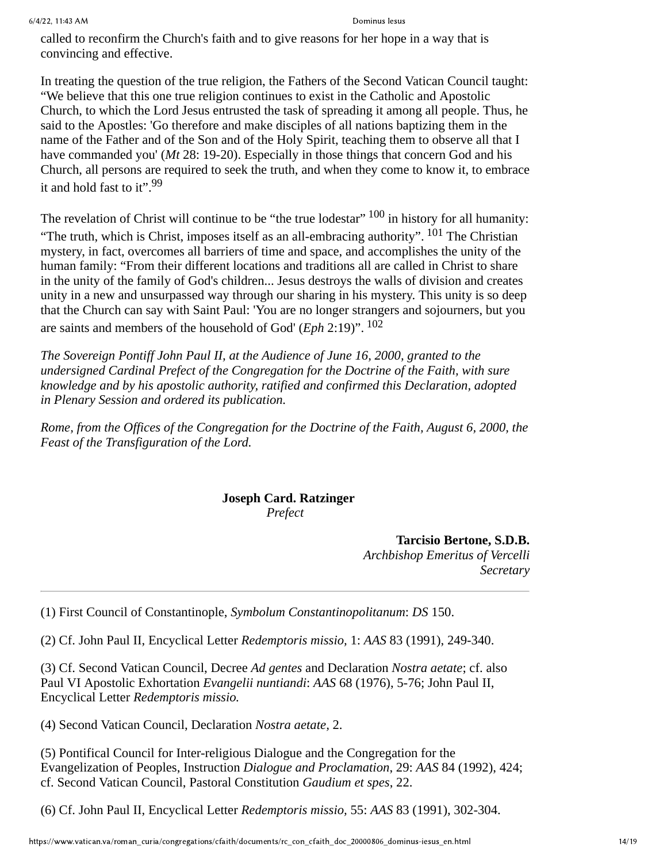called to reconfirm the Church's faith and to give reasons for her hope in a way that is convincing and effective.

In treating the question of the true religion, the Fathers of the Second Vatican Council taught: "We believe that this one true religion continues to exist in the Catholic and Apostolic Church, to which the Lord Jesus entrusted the task of spreading it among all people. Thus, he said to the Apostles: 'Go therefore and make disciples of all nations baptizing them in the name of the Father and of the Son and of the Holy Spirit, teaching them to observe all that I have commanded you' (*Mt* 28: 19-20). Especially in those things that concern God and his Church, all persons are required to seek the truth, and when they come to know it, to embrace it and hold fast to it". 99

The revelation of Christ will continue to be "the true lodestar"  $^{100}$  in history for all humanity: "The truth, which is Christ, imposes itself as an all-embracing authority".  $^{101}$  The Christian mystery, in fact, overcomes all barriers of time and space, and accomplishes the unity of the human family: "From their different locations and traditions all are called in Christ to share in the unity of the family of God's children... Jesus destroys the walls of division and creates unity in a new and unsurpassed way through our sharing in his mystery. This unity is so deep that the Church can say with Saint Paul: 'You are no longer strangers and sojourners, but you are saints and members of the household of God' (*Eph* 2:19)". 102

*The Sovereign Pontiff John Paul II, at the Audience of June 16, 2000, granted to the undersigned Cardinal Prefect of the Congregation for the Doctrine of the Faith, with sure knowledge and by his apostolic authority, ratified and confirmed this Declaration, adopted in Plenary Session and ordered its publication.*

*Rome, from the Offices of the Congregation for the Doctrine of the Faith, August 6, 2000, the Feast of the Transfiguration of the Lord.*

> **Joseph Card. Ratzinger** *Prefect*

> > **Tarcisio Bertone, S.D.B.** *Archbishop Emeritus of Vercelli Secretary*

(1) First Council of Constantinople, *Symbolum Constantinopolitanum*: *DS* 150.

(2) Cf. John Paul II, Encyclical Letter *Redemptoris missio,* 1: *AAS* 83 (1991), 249-340.

(3) Cf. Second Vatican Council, Decree *Ad gentes* and Declaration *Nostra aetate*; cf. also Paul VI Apostolic Exhortation *Evangelii nuntiandi*: *AAS* 68 (1976), 5-76; John Paul II, Encyclical Letter *Redemptoris missio.*

(4) Second Vatican Council, Declaration *Nostra aetate,* 2.

(5) Pontifical Council for Inter-religious Dialogue and the Congregation for the Evangelization of Peoples, Instruction *Dialogue and Proclamation*, 29: *AAS* 84 (1992), 424; cf. Second Vatican Council, Pastoral Constitution *Gaudium et spes*, 22.

(6) Cf. John Paul II, Encyclical Letter *Redemptoris missio,* 55: *AAS* 83 (1991), 302-304.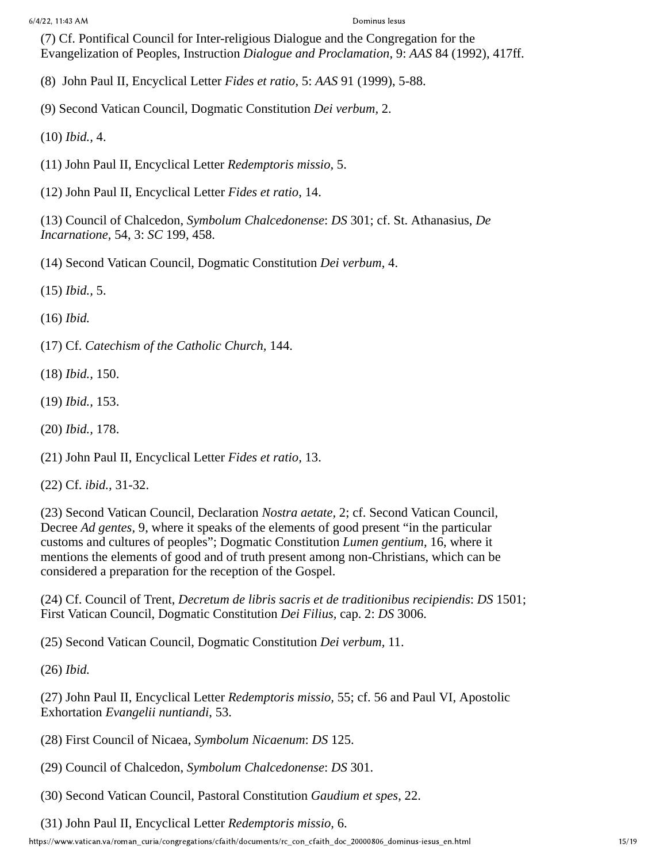(7) Cf. Pontifical Council for Inter-religious Dialogue and the Congregation for the Evangelization of Peoples, Instruction *Dialogue and Proclamation,* 9: *AAS* 84 (1992), 417ff.

(8) John Paul II, Encyclical Letter *Fides et ratio*, 5: *AAS* 91 (1999), 5-88.

(9) Second Vatican Council, Dogmatic Constitution *Dei verbum,* 2.

(10) *Ibid.,* 4.

(11) John Paul II, Encyclical Letter *Redemptoris missio,* 5.

(12) John Paul II, Encyclical Letter *Fides et ratio*, 14.

(13) Council of Chalcedon, *Symbolum Chalcedonense*: *DS* 301; cf. St. Athanasius, *De Incarnatione,* 54, 3: *SC* 199, 458.

(14) Second Vatican Council, Dogmatic Constitution *Dei verbum,* 4.

(15) *Ibid.,* 5.

(16) *Ibid.*

(17) Cf. *Catechism of the Catholic Church,* 144.

(18) *Ibid.,* 150.

(19) *Ibid.,* 153.

(20) *Ibid.,* 178.

(21) John Paul II, Encyclical Letter *Fides et ratio,* 13.

(22) Cf. *ibid.,* 31-32.

(23) Second Vatican Council, Declaration *Nostra aetate,* 2; cf. Second Vatican Council, Decree *Ad gentes,* 9, where it speaks of the elements of good present "in the particular customs and cultures of peoples"; Dogmatic Constitution *Lumen gentium,* 16, where it mentions the elements of good and of truth present among non-Christians, which can be considered a preparation for the reception of the Gospel.

(24) Cf. Council of Trent, *Decretum de libris sacris et de traditionibus recipiendis*: *DS* 1501; First Vatican Council, Dogmatic Constitution *Dei Filius,* cap. 2: *DS* 3006.

(25) Second Vatican Council, Dogmatic Constitution *Dei verbum,* 11.

(26) *Ibid.*

(27) John Paul II, Encyclical Letter *Redemptoris missio,* 55; cf. 56 and Paul VI, Apostolic Exhortation *Evangelii nuntiandi*, 53.

(28) First Council of Nicaea, *Symbolum Nicaenum*: *DS* 125.

(29) Council of Chalcedon, *Symbolum Chalcedonense*: *DS* 301.

(30) Second Vatican Council, Pastoral Constitution *Gaudium et spes,* 22.

(31) John Paul II, Encyclical Letter *Redemptoris missio,* 6.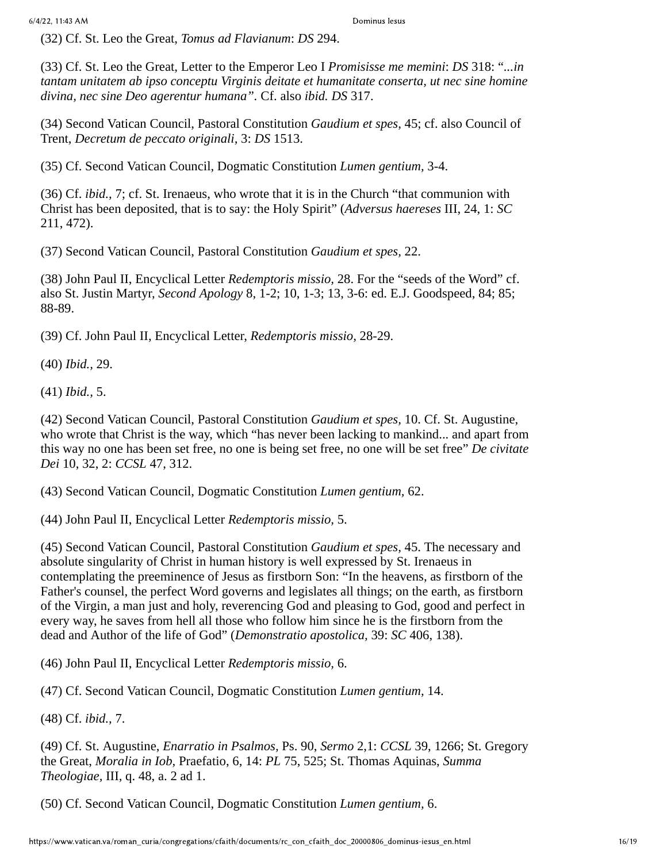(32) Cf. St. Leo the Great, *Tomus ad Flavianum*: *DS* 294.

(33) Cf. St. Leo the Great, Letter to the Emperor Leo I *Promisisse me memini*: *DS* 318: "*...in tantam unitatem ab ipso conceptu Virginis deitate et humanitate conserta, ut nec sine homine divina, nec sine Deo agerentur humana".* Cf. also *ibid. DS* 317.

(34) Second Vatican Council, Pastoral Constitution *Gaudium et spes,* 45; cf. also Council of Trent, *Decretum de peccato originali,* 3: *DS* 1513.

(35) Cf. Second Vatican Council, Dogmatic Constitution *Lumen gentium,* 3-4.

(36) Cf. *ibid.,* 7; cf. St. Irenaeus, who wrote that it is in the Church "that communion with Christ has been deposited, that is to say: the Holy Spirit" (*Adversus haereses* III, 24, 1: *SC* 211, 472).

(37) Second Vatican Council, Pastoral Constitution *Gaudium et spes,* 22.

(38) John Paul II, Encyclical Letter *Redemptoris missio,* 28. For the "seeds of the Word" cf. also St. Justin Martyr, *Second Apology* 8, 1-2; 10, 1-3; 13, 3-6: ed. E.J. Goodspeed, 84; 85; 88-89.

(39) Cf. John Paul II, Encyclical Letter, *Redemptoris missio,* 28-29.

(40) *Ibid.,* 29.

(41) *Ibid.,* 5.

(42) Second Vatican Council, Pastoral Constitution *Gaudium et spes,* 10. Cf. St. Augustine, who wrote that Christ is the way, which "has never been lacking to mankind... and apart from this way no one has been set free, no one is being set free, no one will be set free" *De civitate Dei* 10, 32, 2: *CCSL* 47, 312.

(43) Second Vatican Council, Dogmatic Constitution *Lumen gentium,* 62.

(44) John Paul II, Encyclical Letter *Redemptoris missio,* 5.

(45) Second Vatican Council, Pastoral Constitution *Gaudium et spes,* 45. The necessary and absolute singularity of Christ in human history is well expressed by St. Irenaeus in contemplating the preeminence of Jesus as firstborn Son: "In the heavens, as firstborn of the Father's counsel, the perfect Word governs and legislates all things; on the earth, as firstborn of the Virgin, a man just and holy, reverencing God and pleasing to God, good and perfect in every way, he saves from hell all those who follow him since he is the firstborn from the dead and Author of the life of God" (*Demonstratio apostolica,* 39: *SC* 406, 138).

(46) John Paul II, Encyclical Letter *Redemptoris missio,* 6.

(47) Cf. Second Vatican Council, Dogmatic Constitution *Lumen gentium,* 14.

(48) Cf. *ibid.,* 7.

(49) Cf. St. Augustine, *Enarratio in Psalmos,* Ps. 90, *Sermo* 2,1: *CCSL* 39, 1266; St. Gregory the Great, *Moralia in Iob,* Praefatio, 6, 14: *PL* 75, 525; St. Thomas Aquinas, *Summa Theologiae,* III, q. 48, a. 2 ad 1.

(50) Cf. Second Vatican Council, Dogmatic Constitution *Lumen gentium,* 6.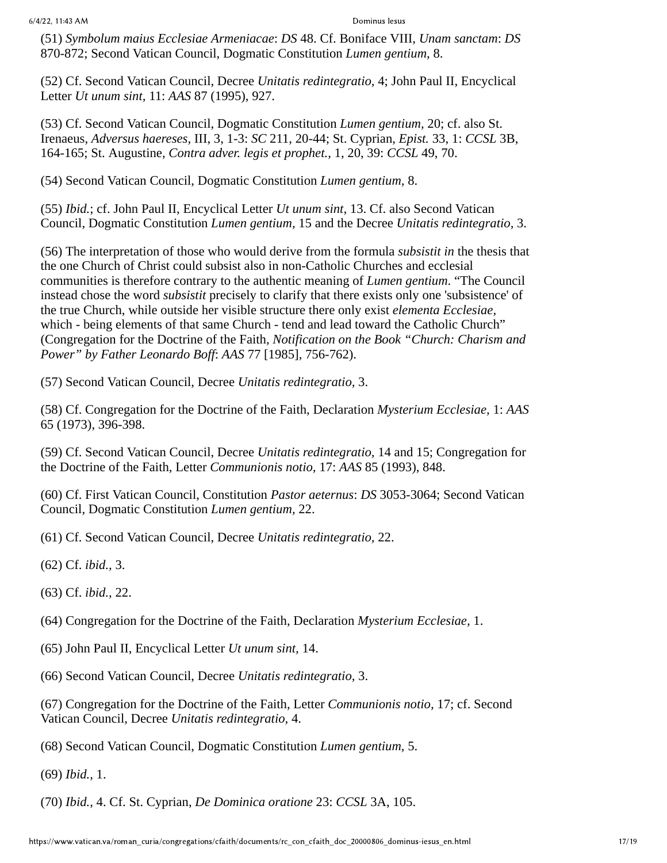(51) *Symbolum maius Ecclesiae Armeniacae*: *DS* 48. Cf. Boniface VIII, *Unam sanctam*: *DS* 870-872; Second Vatican Council, Dogmatic Constitution *Lumen gentium*, 8.

(52) Cf. Second Vatican Council, Decree *Unitatis redintegratio,* 4; John Paul II, Encyclical Letter *Ut unum sint,* 11: *AAS* 87 (1995), 927.

(53) Cf. Second Vatican Council, Dogmatic Constitution *Lumen gentium,* 20; cf. also St. Irenaeus, *Adversus haereses,* III, 3, 1-3: *SC* 211, 20-44; St. Cyprian, *Epist.* 33, 1: *CCSL* 3B, 164-165; St. Augustine, *Contra adver. legis et prophet.,* 1, 20, 39: *CCSL* 49, 70.

(54) Second Vatican Council, Dogmatic Constitution *Lumen gentium,* 8.

(55) *Ibid.*; cf. John Paul II, Encyclical Letter *Ut unum sint,* 13. Cf. also Second Vatican Council, Dogmatic Constitution *Lumen gentium,* 15 and the Decree *Unitatis redintegratio,* 3.

(56) The interpretation of those who would derive from the formula *subsistit in* the thesis that the one Church of Christ could subsist also in non-Catholic Churches and ecclesial communities is therefore contrary to the authentic meaning of *Lumen gentium*. "The Council instead chose the word *subsistit* precisely to clarify that there exists only one 'subsistence' of the true Church, while outside her visible structure there only exist *elementa Ecclesiae,* which - being elements of that same Church - tend and lead toward the Catholic Church" (Congregation for the Doctrine of the Faith, *Notification on the Book "Church: Charism and Power" by Father Leonardo Boff*: *AAS* 77 [1985], 756-762).

(57) Second Vatican Council, Decree *Unitatis redintegratio,* 3.

(58) Cf. Congregation for the Doctrine of the Faith, Declaration *Mysterium Ecclesiae,* 1: *AAS* 65 (1973), 396-398.

(59) Cf. Second Vatican Council, Decree *Unitatis redintegratio,* 14 and 15; Congregation for the Doctrine of the Faith, Letter *Communionis notio,* 17: *AAS* 85 (1993), 848.

(60) Cf. First Vatican Council, Constitution *Pastor aeternus*: *DS* 3053-3064; Second Vatican Council, Dogmatic Constitution *Lumen gentium,* 22.

(61) Cf. Second Vatican Council, Decree *Unitatis redintegratio,* 22.

(62) Cf. *ibid.,* 3.

(63) Cf. *ibid.,* 22.

(64) Congregation for the Doctrine of the Faith, Declaration *Mysterium Ecclesiae,* 1.

(65) John Paul II, Encyclical Letter *Ut unum sint,* 14.

(66) Second Vatican Council, Decree *Unitatis redintegratio,* 3.

(67) Congregation for the Doctrine of the Faith, Letter *Communionis notio,* 17; cf. Second Vatican Council, Decree *Unitatis redintegratio,* 4.

(68) Second Vatican Council, Dogmatic Constitution *Lumen gentium,* 5.

(69) *Ibid.,* 1.

(70) *Ibid.,* 4. Cf. St. Cyprian, *De Dominica oratione* 23: *CCSL* 3A, 105.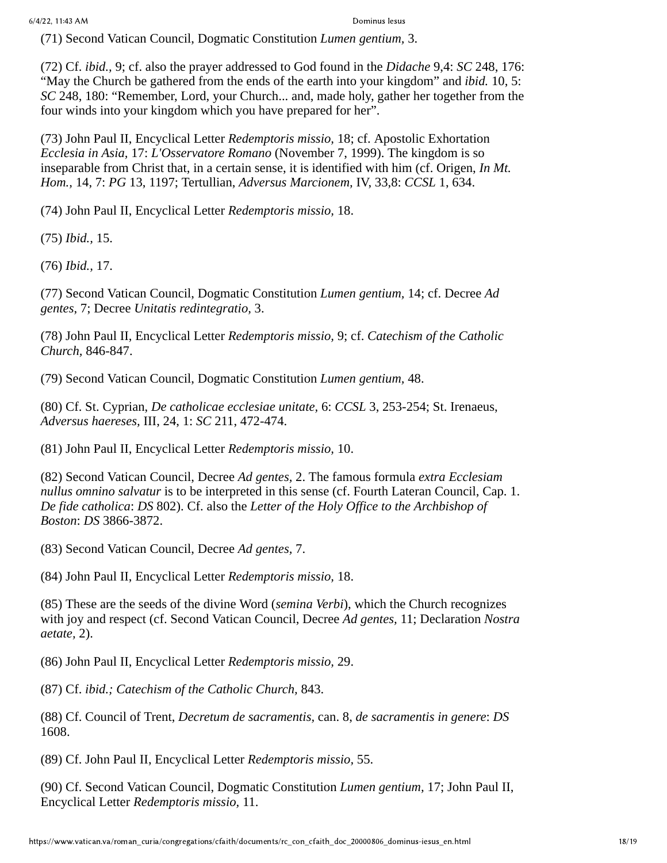(71) Second Vatican Council, Dogmatic Constitution *Lumen gentium,* 3.

(72) Cf. *ibid.,* 9; cf. also the prayer addressed to God found in the *Didache* 9,4: *SC* 248, 176: "May the Church be gathered from the ends of the earth into your kingdom" and *ibid.* 10, 5: *SC* 248, 180: "Remember, Lord, your Church... and, made holy, gather her together from the four winds into your kingdom which you have prepared for her".

(73) John Paul II, Encyclical Letter *Redemptoris missio,* 18; cf. Apostolic Exhortation *Ecclesia in Asia,* 17: *L'Osservatore Romano* (November 7, 1999). The kingdom is so inseparable from Christ that, in a certain sense, it is identified with him (cf. Origen, *In Mt. Hom.,* 14, 7: *PG* 13, 1197; Tertullian, *Adversus Marcionem,* IV, 33,8: *CCSL* 1, 634.

(74) John Paul II, Encyclical Letter *Redemptoris missio,* 18.

(75) *Ibid.,* 15.

(76) *Ibid.,* 17.

(77) Second Vatican Council, Dogmatic Constitution *Lumen gentium,* 14; cf. Decree *Ad gentes*, 7; Decree *Unitatis redintegratio,* 3.

(78) John Paul II, Encyclical Letter *Redemptoris missio,* 9; cf. *Catechism of the Catholic Church,* 846-847.

(79) Second Vatican Council, Dogmatic Constitution *Lumen gentium,* 48.

(80) Cf. St. Cyprian, *De catholicae ecclesiae unitate,* 6: *CCSL* 3, 253-254; St. Irenaeus, *Adversus haereses,* III, 24, 1: *SC* 211, 472-474.

(81) John Paul II, Encyclical Letter *Redemptoris missio,* 10.

(82) Second Vatican Council, Decree *Ad gentes,* 2. The famous formula *extra Ecclesiam nullus omnino salvatur* is to be interpreted in this sense (cf. Fourth Lateran Council, Cap. 1. *De fide catholica*: *DS* 802). Cf. also the *Letter of the Holy Office to the Archbishop of Boston*: *DS* 3866-3872.

(83) Second Vatican Council, Decree *Ad gentes,* 7.

(84) John Paul II, Encyclical Letter *Redemptoris missio,* 18.

(85) These are the seeds of the divine Word (*semina Verbi*), which the Church recognizes with joy and respect (cf. Second Vatican Council, Decree *Ad gentes,* 11; Declaration *Nostra aetate,* 2).

(86) John Paul II, Encyclical Letter *Redemptoris missio,* 29.

(87) Cf. *ibid.; Catechism of the Catholic Church,* 843.

(88) Cf. Council of Trent, *Decretum de sacramentis,* can. 8, *de sacramentis in genere*: *DS* 1608.

(89) Cf. John Paul II, Encyclical Letter *Redemptoris missio,* 55.

(90) Cf. Second Vatican Council, Dogmatic Constitution *Lumen gentium,* 17; John Paul II, Encyclical Letter *Redemptoris missio,* 11.